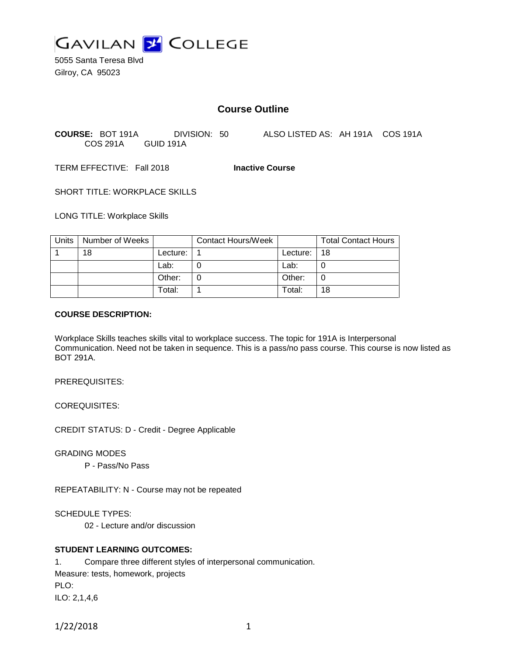

5055 Santa Teresa Blvd Gilroy, CA 95023

# **Course Outline**

**COURSE:** BOT 191A DIVISION: 50 ALSO LISTED AS: AH 191A COS 191A COS 291A GUID 191A

TERM EFFECTIVE: Fall 2018 **Inactive Course**

SHORT TITLE: WORKPLACE SKILLS

LONG TITLE: Workplace Skills

| Units | Number of Weeks |            | <b>Contact Hours/Week</b> |                | <b>Total Contact Hours</b> |
|-------|-----------------|------------|---------------------------|----------------|----------------------------|
|       | 18              | Lecture: . |                           | Lecture: $ 18$ |                            |
|       |                 | Lab:       |                           | Lab:           |                            |
|       |                 | Other:     |                           | Other:         |                            |
|       |                 | Total:     |                           | Total:         | 18                         |

### **COURSE DESCRIPTION:**

Workplace Skills teaches skills vital to workplace success. The topic for 191A is Interpersonal Communication. Need not be taken in sequence. This is a pass/no pass course. This course is now listed as BOT 291A.

PREREQUISITES:

COREQUISITES:

CREDIT STATUS: D - Credit - Degree Applicable

GRADING MODES

P - Pass/No Pass

REPEATABILITY: N - Course may not be repeated

SCHEDULE TYPES:

02 - Lecture and/or discussion

## **STUDENT LEARNING OUTCOMES:**

1. Compare three different styles of interpersonal communication. Measure: tests, homework, projects PLO: ILO: 2,1,4,6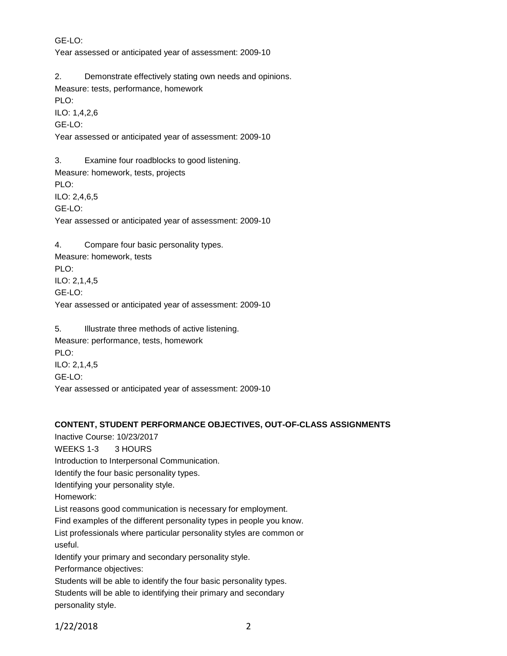GE-LO:

Year assessed or anticipated year of assessment: 2009-10

2. Demonstrate effectively stating own needs and opinions. Measure: tests, performance, homework

PLO:

ILO: 1,4,2,6 GE-LO:

Year assessed or anticipated year of assessment: 2009-10

3. Examine four roadblocks to good listening. Measure: homework, tests, projects PLO: ILO: 2,4,6,5 GE-LO: Year assessed or anticipated year of assessment: 2009-10

4. Compare four basic personality types. Measure: homework, tests PLO: ILO: 2,1,4,5 GE-LO: Year assessed or anticipated year of assessment: 2009-10

5. Illustrate three methods of active listening. Measure: performance, tests, homework PLO: ILO: 2,1,4,5 GE-LO: Year assessed or anticipated year of assessment: 2009-10

## **CONTENT, STUDENT PERFORMANCE OBJECTIVES, OUT-OF-CLASS ASSIGNMENTS**

Inactive Course: 10/23/2017 WEEKS 1-3 3 HOURS Introduction to Interpersonal Communication. Identify the four basic personality types. Identifying your personality style. Homework: List reasons good communication is necessary for employment. Find examples of the different personality types in people you know. List professionals where particular personality styles are common or useful. Identify your primary and secondary personality style. Performance objectives: Students will be able to identify the four basic personality types. Students will be able to identifying their primary and secondary personality style.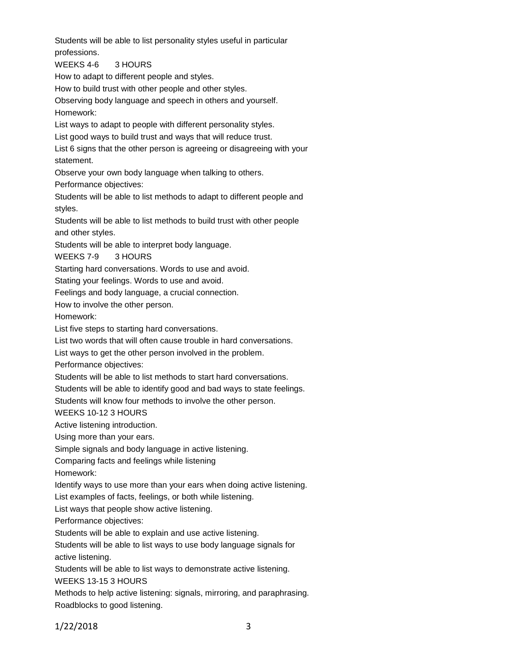Students will be able to list personality styles useful in particular professions. WEEKS 4-6 3 HOURS How to adapt to different people and styles. How to build trust with other people and other styles. Observing body language and speech in others and yourself. Homework: List ways to adapt to people with different personality styles. List good ways to build trust and ways that will reduce trust. List 6 signs that the other person is agreeing or disagreeing with your statement. Observe your own body language when talking to others. Performance objectives: Students will be able to list methods to adapt to different people and styles. Students will be able to list methods to build trust with other people and other styles. Students will be able to interpret body language. WEEKS 7-9 3 HOURS Starting hard conversations. Words to use and avoid. Stating your feelings. Words to use and avoid. Feelings and body language, a crucial connection. How to involve the other person. Homework: List five steps to starting hard conversations. List two words that will often cause trouble in hard conversations. List ways to get the other person involved in the problem. Performance objectives: Students will be able to list methods to start hard conversations. Students will be able to identify good and bad ways to state feelings. Students will know four methods to involve the other person. WEEKS 10-12 3 HOURS Active listening introduction. Using more than your ears. Simple signals and body language in active listening. Comparing facts and feelings while listening Homework: Identify ways to use more than your ears when doing active listening. List examples of facts, feelings, or both while listening. List ways that people show active listening. Performance objectives: Students will be able to explain and use active listening. Students will be able to list ways to use body language signals for active listening. Students will be able to list ways to demonstrate active listening. WEEKS 13-15 3 HOURS Methods to help active listening: signals, mirroring, and paraphrasing. Roadblocks to good listening.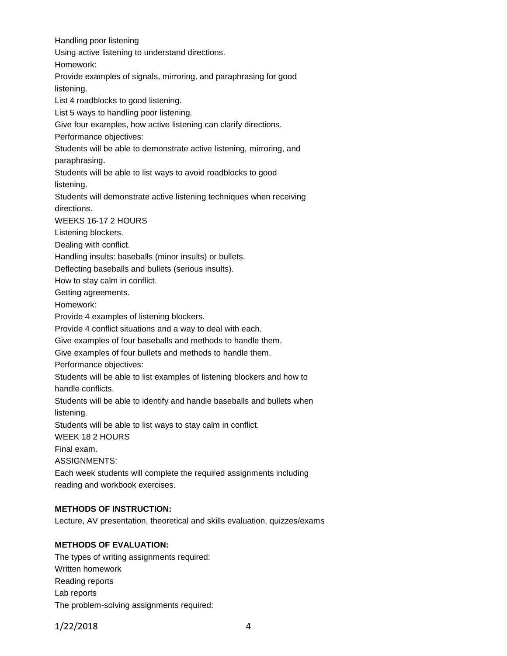Handling poor listening Using active listening to understand directions. Homework: Provide examples of signals, mirroring, and paraphrasing for good listening. List 4 roadblocks to good listening. List 5 ways to handling poor listening. Give four examples, how active listening can clarify directions. Performance objectives: Students will be able to demonstrate active listening, mirroring, and paraphrasing. Students will be able to list ways to avoid roadblocks to good listening. Students will demonstrate active listening techniques when receiving directions. WEEKS 16-17 2 HOURS Listening blockers. Dealing with conflict. Handling insults: baseballs (minor insults) or bullets. Deflecting baseballs and bullets (serious insults). How to stay calm in conflict. Getting agreements. Homework: Provide 4 examples of listening blockers. Provide 4 conflict situations and a way to deal with each. Give examples of four baseballs and methods to handle them. Give examples of four bullets and methods to handle them. Performance objectives: Students will be able to list examples of listening blockers and how to handle conflicts. Students will be able to identify and handle baseballs and bullets when listening. Students will be able to list ways to stay calm in conflict. WEEK 18 2 HOURS Final exam. ASSIGNMENTS: Each week students will complete the required assignments including reading and workbook exercises. **METHODS OF INSTRUCTION:** Lecture, AV presentation, theoretical and skills evaluation, quizzes/exams

#### **METHODS OF EVALUATION:**

The types of writing assignments required: Written homework Reading reports Lab reports The problem-solving assignments required: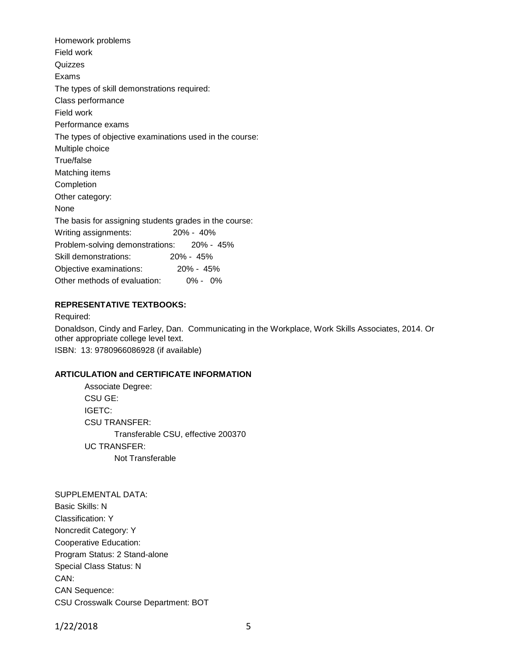Homework problems Field work Quizzes Exams The types of skill demonstrations required: Class performance Field work Performance exams The types of objective examinations used in the course: Multiple choice True/false Matching items Completion Other category: None The basis for assigning students grades in the course: Writing assignments: 20% - 40% Problem-solving demonstrations: 20% - 45% Skill demonstrations: 20% - 45% Objective examinations: 20% - 45% Other methods of evaluation: 0% - 0%

## **REPRESENTATIVE TEXTBOOKS:**

Required:

Donaldson, Cindy and Farley, Dan. Communicating in the Workplace, Work Skills Associates, 2014. Or other appropriate college level text.

ISBN: 13: 9780966086928 (if available)

## **ARTICULATION and CERTIFICATE INFORMATION**

Associate Degree: CSU GE: IGETC: CSU TRANSFER: Transferable CSU, effective 200370 UC TRANSFER: Not Transferable

SUPPLEMENTAL DATA: Basic Skills: N Classification: Y Noncredit Category: Y Cooperative Education: Program Status: 2 Stand-alone Special Class Status: N CAN: CAN Sequence: CSU Crosswalk Course Department: BOT